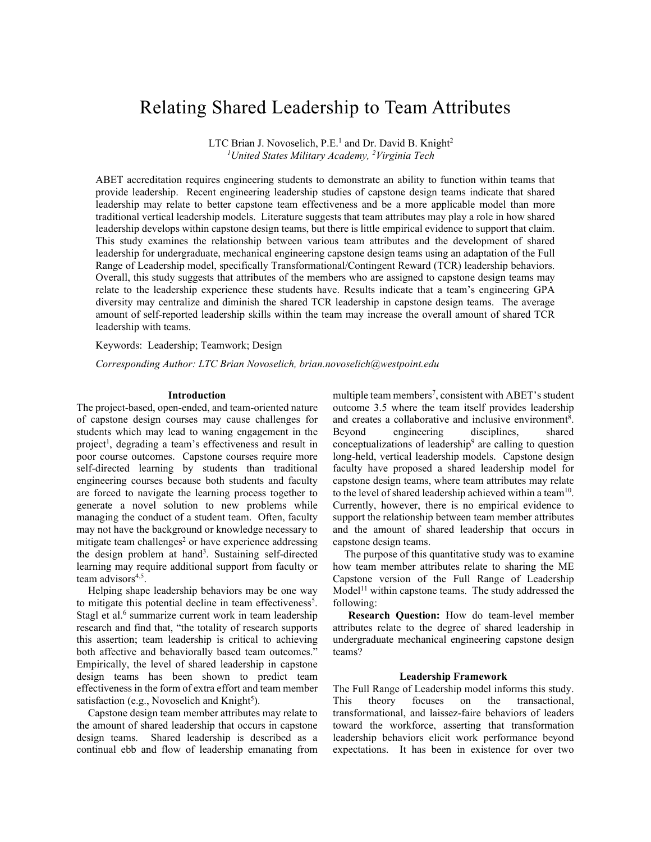# Relating Shared Leadership to Team Attributes

LTC Brian J. Novoselich, P.E.<sup>1</sup> and Dr. David B. Knight<sup>2</sup> *1 United States Military Academy, 2 Virginia Tech*

ABET accreditation requires engineering students to demonstrate an ability to function within teams that provide leadership. Recent engineering leadership studies of capstone design teams indicate that shared leadership may relate to better capstone team effectiveness and be a more applicable model than more traditional vertical leadership models. Literature suggests that team attributes may play a role in how shared leadership develops within capstone design teams, but there is little empirical evidence to support that claim. This study examines the relationship between various team attributes and the development of shared leadership for undergraduate, mechanical engineering capstone design teams using an adaptation of the Full Range of Leadership model, specifically Transformational/Contingent Reward (TCR) leadership behaviors. Overall, this study suggests that attributes of the members who are assigned to capstone design teams may relate to the leadership experience these students have. Results indicate that a team's engineering GPA diversity may centralize and diminish the shared TCR leadership in capstone design teams. The average amount of self-reported leadership skills within the team may increase the overall amount of shared TCR leadership with teams.

Keywords:Leadership; Teamwork; Design

*Corresponding Author: LTC Brian Novoselich, brian.novoselich@westpoint.edu*

## **Introduction**

The project-based, open-ended, and team-oriented nature of capstone design courses may cause challenges for students which may lead to waning engagement in the project<sup>1</sup>, degrading a team's effectiveness and result in poor course outcomes. Capstone courses require more self-directed learning by students than traditional engineering courses because both students and faculty are forced to navigate the learning process together to generate a novel solution to new problems while managing the conduct of a student team. Often, faculty may not have the background or knowledge necessary to mitigate team challenges<sup>2</sup> or have experience addressing the design problem at hand<sup>3</sup>. Sustaining self-directed learning may require additional support from faculty or team advisors $4,5$ .

Helping shape leadership behaviors may be one way to mitigate this potential decline in team effectiveness<sup>5</sup>. Stagl et al.<sup>6</sup> summarize current work in team leadership research and find that, "the totality of research supports this assertion; team leadership is critical to achieving both affective and behaviorally based team outcomes." Empirically, the level of shared leadership in capstone design teams has been shown to predict team effectiveness in the form of extra effort and team member satisfaction (e.g., Novoselich and Knight<sup>5</sup>).

Capstone design team member attributes may relate to the amount of shared leadership that occurs in capstone design teams. Shared leadership is described as a continual ebb and flow of leadership emanating from

multiple team members<sup>7</sup>, consistent with ABET's student outcome 3.5 where the team itself provides leadership and creates a collaborative and inclusive environment<sup>8</sup>. Beyond engineering disciplines, shared conceptualizations of leadership<sup>9</sup> are calling to question long-held, vertical leadership models. Capstone design faculty have proposed a shared leadership model for capstone design teams, where team attributes may relate to the level of shared leadership achieved within a team<sup>10</sup>. Currently, however, there is no empirical evidence to support the relationship between team member attributes and the amount of shared leadership that occurs in capstone design teams.

The purpose of this quantitative study was to examine how team member attributes relate to sharing the ME Capstone version of the Full Range of Leadership  $Model<sup>11</sup>$  within capstone teams. The study addressed the following:

**Research Question:** How do team-level member attributes relate to the degree of shared leadership in undergraduate mechanical engineering capstone design teams?

#### **Leadership Framework**

The Full Range of Leadership model informs this study. This theory focuses on the transactional, transformational, and laissez-faire behaviors of leaders toward the workforce, asserting that transformation leadership behaviors elicit work performance beyond expectations. It has been in existence for over two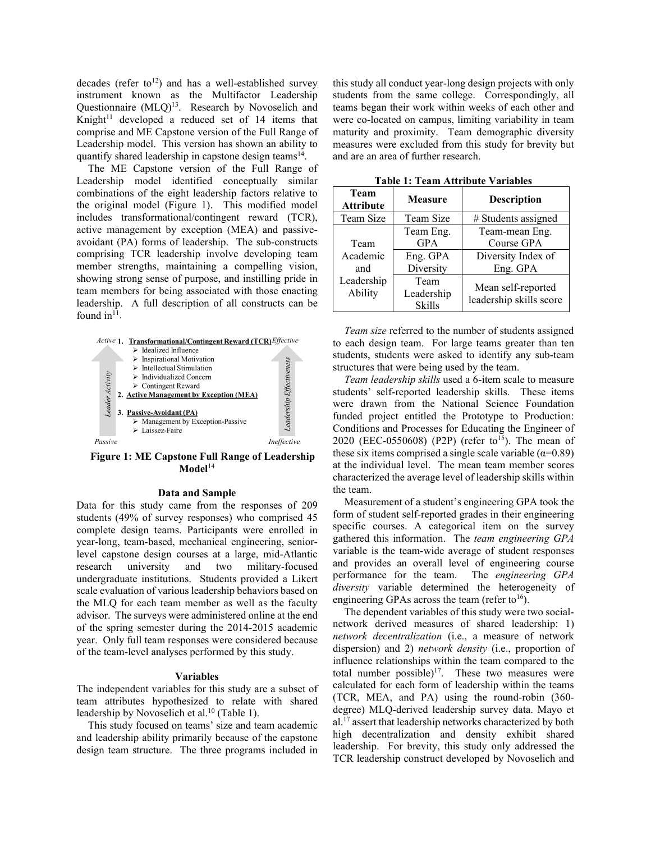decades (refer to<sup>12</sup>) and has a well-established survey instrument known as the Multifactor Leadership Questionnaire (MLQ)<sup>13</sup>. Research by Novoselich and Knight $11$  developed a reduced set of 14 items that comprise and ME Capstone version of the Full Range of Leadership model. This version has shown an ability to quantify shared leadership in capstone design teams<sup>14</sup>.

The ME Capstone version of the Full Range of Leadership model identified conceptually similar combinations of the eight leadership factors relative to the original model (Figure 1). This modified model includes transformational/contingent reward (TCR), active management by exception (MEA) and passiveavoidant (PA) forms of leadership. The sub-constructs comprising TCR leadership involve developing team member strengths, maintaining a compelling vision, showing strong sense of purpose, and instilling pride in team members for being associated with those enacting leadership. A full description of all constructs can be found  $in<sup>11</sup>$ .



**Figure 1: ME Capstone Full Range of Leadership Model**<sup>14</sup>

#### **Data and Sample**

Data for this study came from the responses of 209 students (49% of survey responses) who comprised 45 complete design teams. Participants were enrolled in year-long, team-based, mechanical engineering, seniorlevel capstone design courses at a large, mid-Atlantic research university and two military-focused undergraduate institutions. Students provided a Likert scale evaluation of various leadership behaviors based on the MLQ for each team member as well as the faculty advisor. The surveys were administered online at the end of the spring semester during the 2014-2015 academic year. Only full team responses were considered because of the team-level analyses performed by this study.

#### **Variables**

The independent variables for this study are a subset of team attributes hypothesized to relate with shared leadership by Novoselich et al.<sup>10</sup> (Table 1).

This study focused on teams' size and team academic and leadership ability primarily because of the capstone design team structure. The three programs included in this study all conduct year-long design projects with only students from the same college. Correspondingly, all teams began their work within weeks of each other and were co-located on campus, limiting variability in team maturity and proximity. Team demographic diversity measures were excluded from this study for brevity but and are an area of further research.

| Team<br><b>Attribute</b> | <b>Measure</b>                      | <b>Description</b>                            |  |
|--------------------------|-------------------------------------|-----------------------------------------------|--|
| Team Size                | Team Size                           | # Students assigned                           |  |
|                          | Team Eng.                           | Team-mean Eng.                                |  |
| Team                     | <b>GPA</b>                          | Course GPA                                    |  |
| Academic                 | Eng. GPA                            | Diversity Index of                            |  |
| and                      | Diversity                           | Eng. GPA                                      |  |
| Leadership<br>Ability    | Team<br>Leadership<br><b>Skills</b> | Mean self-reported<br>leadership skills score |  |

**Table 1: Team Attribute Variables**

*Team size* referred to the number of students assigned to each design team. For large teams greater than ten students, students were asked to identify any sub-team structures that were being used by the team.

*Team leadership skills* used a 6-item scale to measure students' self-reported leadership skills. These items were drawn from the National Science Foundation funded project entitled the Prototype to Production: Conditions and Processes for Educating the Engineer of 2020 (EEC-0550608) (P2P) (refer to<sup>15</sup>). The mean of these six items comprised a single scale variable ( $\alpha$ =0.89) at the individual level. The mean team member scores characterized the average level of leadership skills within the team.

Measurement of a student's engineering GPA took the form of student self-reported grades in their engineering specific courses. A categorical item on the survey gathered this information. The *team engineering GPA* variable is the team-wide average of student responses and provides an overall level of engineering course performance for the team. The *engineering GPA diversity* variable determined the heterogeneity of engineering GPAs across the team (refer to  $16$ ).

The dependent variables of this study were two socialnetwork derived measures of shared leadership: 1) *network decentralization* (i.e., a measure of network dispersion) and 2) *network density* (i.e., proportion of influence relationships within the team compared to the total number possible) $17$ . These two measures were calculated for each form of leadership within the teams (TCR, MEA, and PA) using the round-robin (360 degree) MLQ-derived leadership survey data. Mayo et al.17 assert that leadership networks characterized by both high decentralization and density exhibit shared leadership. For brevity, this study only addressed the TCR leadership construct developed by Novoselich and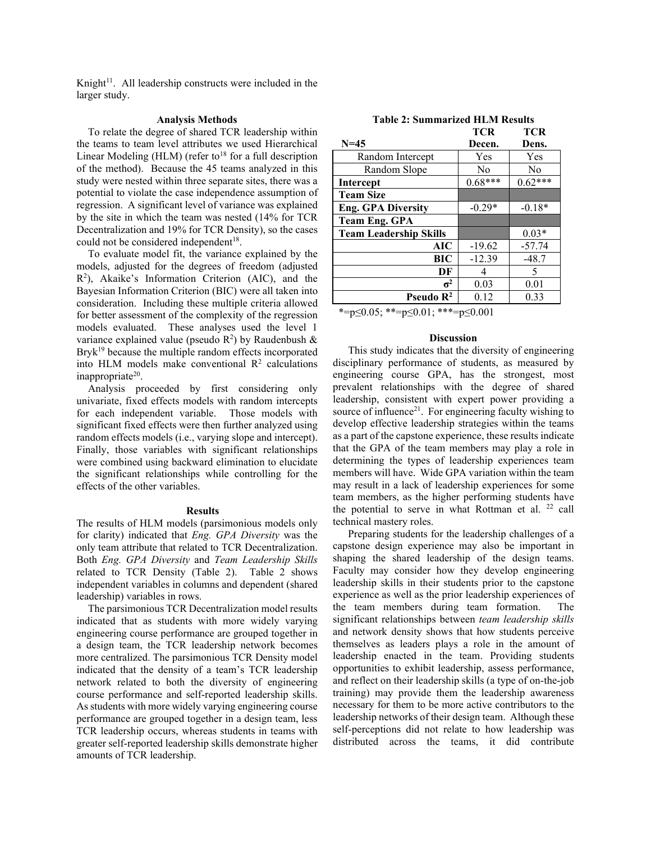Knight $11$ . All leadership constructs were included in the larger study.

## **Analysis Methods**

To relate the degree of shared TCR leadership within the teams to team level attributes we used Hierarchical Linear Modeling (HLM) (refer to<sup>18</sup> for a full description of the method). Because the 45 teams analyzed in this study were nested within three separate sites, there was a potential to violate the case independence assumption of regression. A significant level of variance was explained by the site in which the team was nested (14% for TCR Decentralization and 19% for TCR Density), so the cases could not be considered independent<sup>18</sup>.

To evaluate model fit, the variance explained by the models, adjusted for the degrees of freedom (adjusted  $R<sup>2</sup>$ ), Akaike's Information Criterion (AIC), and the Bayesian Information Criterion (BIC) were all taken into consideration. Including these multiple criteria allowed for better assessment of the complexity of the regression models evaluated. These analyses used the level 1 variance explained value (pseudo  $R^2$ ) by Raudenbush &  $Bryk^{19}$  because the multiple random effects incorporated into HLM models make conventional  $R^2$  calculations inappropriate<sup>20</sup>.

Analysis proceeded by first considering only univariate, fixed effects models with random intercepts for each independent variable. Those models with significant fixed effects were then further analyzed using random effects models (i.e., varying slope and intercept). Finally, those variables with significant relationships were combined using backward elimination to elucidate the significant relationships while controlling for the effects of the other variables.

### **Results**

The results of HLM models (parsimonious models only for clarity) indicated that *Eng. GPA Diversity* was the only team attribute that related to TCR Decentralization. Both *Eng. GPA Diversity* and *Team Leadership Skills* related to TCR Density (Table 2). Table 2 shows independent variables in columns and dependent (shared leadership) variables in rows.

The parsimonious TCR Decentralization model results indicated that as students with more widely varying engineering course performance are grouped together in a design team, the TCR leadership network becomes more centralized. The parsimonious TCR Density model indicated that the density of a team's TCR leadership network related to both the diversity of engineering course performance and self-reported leadership skills. As students with more widely varying engineering course performance are grouped together in a design team, less TCR leadership occurs, whereas students in teams with greater self-reported leadership skills demonstrate higher amounts of TCR leadership.

|                               | <b>TCR</b>     | <b>TCR</b>     |
|-------------------------------|----------------|----------------|
| $N = 45$                      | Decen.         | Dens.          |
| Random Intercept              | Yes            | Yes            |
| Random Slope                  | N <sub>0</sub> | N <sub>0</sub> |
| <b>Intercept</b>              | $0.68***$      | $0.62***$      |
| <b>Team Size</b>              |                |                |
| <b>Eng. GPA Diversity</b>     | $-0.29*$       | $-0.18*$       |
| <b>Team Eng. GPA</b>          |                |                |
| <b>Team Leadership Skills</b> |                | $0.03*$        |
| AIC                           | $-19.62$       | $-57.74$       |
| BIC                           | $-12.39$       | $-48.7$        |
| DF                            | 4              | 5              |
| $\sigma^2$                    | 0.03           | 0.01           |
| Pseudo $\mathbb{R}^2$         | 0.12           | 0.33           |

\*=p $\leq 0.05$ ; \*\*=p $\leq 0.01$ ; \*\*\*=p $\leq 0.001$ 

## **Discussion**

This study indicates that the diversity of engineering disciplinary performance of students, as measured by engineering course GPA, has the strongest, most prevalent relationships with the degree of shared leadership, consistent with expert power providing a source of influence<sup>21</sup>. For engineering faculty wishing to develop effective leadership strategies within the teams as a part of the capstone experience, these results indicate that the GPA of the team members may play a role in determining the types of leadership experiences team members will have. Wide GPA variation within the team may result in a lack of leadership experiences for some team members, as the higher performing students have the potential to serve in what Rottman et al. <sup>22</sup> call technical mastery roles.

Preparing students for the leadership challenges of a capstone design experience may also be important in shaping the shared leadership of the design teams. Faculty may consider how they develop engineering leadership skills in their students prior to the capstone experience as well as the prior leadership experiences of the team members during team formation. The significant relationships between *team leadership skills* and network density shows that how students perceive themselves as leaders plays a role in the amount of leadership enacted in the team. Providing students opportunities to exhibit leadership, assess performance, and reflect on their leadership skills (a type of on-the-job training) may provide them the leadership awareness necessary for them to be more active contributors to the leadership networks of their design team. Although these self-perceptions did not relate to how leadership was distributed across the teams, it did contribute